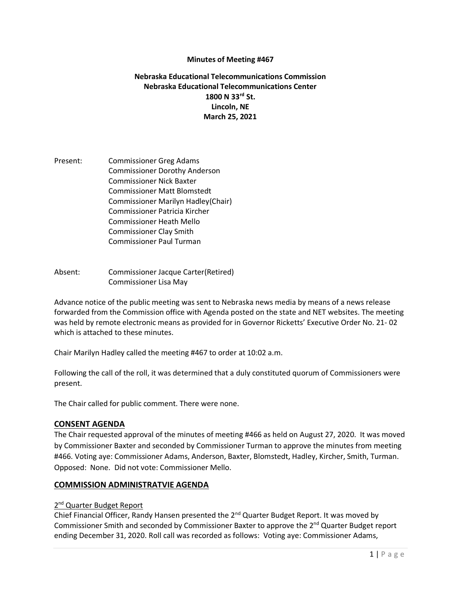#### **Minutes of Meeting #467**

## **Nebraska Educational Telecommunications Commission Nebraska Educational Telecommunications Center 1800 N 33rd St. Lincoln, NE March 25, 2021**

- Present: Commissioner Greg Adams Commissioner Dorothy Anderson Commissioner Nick Baxter Commissioner Matt Blomstedt Commissioner Marilyn Hadley(Chair) Commissioner Patricia Kircher Commissioner Heath Mello Commissioner Clay Smith Commissioner Paul Turman
- Absent: Commissioner Jacque Carter(Retired) Commissioner Lisa May

Advance notice of the public meeting was sent to Nebraska news media by means of a news release forwarded from the Commission office with Agenda posted on the state and NET websites. The meeting was held by remote electronic means as provided for in Governor Ricketts' Executive Order No. 21- 02 which is attached to these minutes.

Chair Marilyn Hadley called the meeting #467 to order at 10:02 a.m.

Following the call of the roll, it was determined that a duly constituted quorum of Commissioners were present.

The Chair called for public comment. There were none.

#### **CONSENT AGENDA**

The Chair requested approval of the minutes of meeting #466 as held on August 27, 2020. It was moved by Commissioner Baxter and seconded by Commissioner Turman to approve the minutes from meeting #466. Voting aye: Commissioner Adams, Anderson, Baxter, Blomstedt, Hadley, Kircher, Smith, Turman. Opposed: None. Did not vote: Commissioner Mello.

#### **COMMISSION ADMINISTRATVIE AGENDA**

#### 2<sup>nd</sup> Quarter Budget Report

Chief Financial Officer, Randy Hansen presented the  $2^{nd}$  Quarter Budget Report. It was moved by Commissioner Smith and seconded by Commissioner Baxter to approve the 2<sup>nd</sup> Quarter Budget report ending December 31, 2020. Roll call was recorded as follows: Voting aye: Commissioner Adams,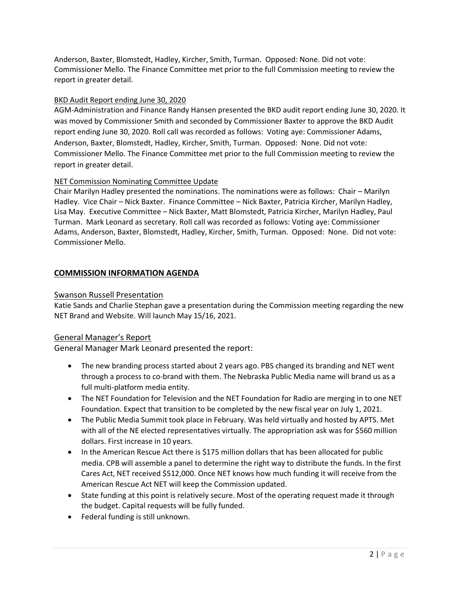Anderson, Baxter, Blomstedt, Hadley, Kircher, Smith, Turman. Opposed: None. Did not vote: Commissioner Mello. The Finance Committee met prior to the full Commission meeting to review the report in greater detail.

## BKD Audit Report ending June 30, 2020

AGM-Administration and Finance Randy Hansen presented the BKD audit report ending June 30, 2020. It was moved by Commissioner Smith and seconded by Commissioner Baxter to approve the BKD Audit report ending June 30, 2020. Roll call was recorded as follows: Voting aye: Commissioner Adams, Anderson, Baxter, Blomstedt, Hadley, Kircher, Smith, Turman. Opposed: None. Did not vote: Commissioner Mello. The Finance Committee met prior to the full Commission meeting to review the report in greater detail.

## NET Commission Nominating Committee Update

Chair Marilyn Hadley presented the nominations. The nominations were as follows: Chair – Marilyn Hadley. Vice Chair – Nick Baxter. Finance Committee – Nick Baxter, Patricia Kircher, Marilyn Hadley, Lisa May. Executive Committee – Nick Baxter, Matt Blomstedt, Patricia Kircher, Marilyn Hadley, Paul Turman. Mark Leonard as secretary. Roll call was recorded as follows: Voting aye: Commissioner Adams, Anderson, Baxter, Blomstedt, Hadley, Kircher, Smith, Turman. Opposed: None. Did not vote: Commissioner Mello.

## **COMMISSION INFORMATION AGENDA**

### Swanson Russell Presentation

Katie Sands and Charlie Stephan gave a presentation during the Commission meeting regarding the new NET Brand and Website. Will launch May 15/16, 2021.

#### General Manager's Report

General Manager Mark Leonard presented the report:

- The new branding process started about 2 years ago. PBS changed its branding and NET went through a process to co-brand with them. The Nebraska Public Media name will brand us as a full multi-platform media entity.
- The NET Foundation for Television and the NET Foundation for Radio are merging in to one NET Foundation. Expect that transition to be completed by the new fiscal year on July 1, 2021.
- The Public Media Summit took place in February. Was held virtually and hosted by APTS. Met with all of the NE elected representatives virtually. The appropriation ask was for \$560 million dollars. First increase in 10 years.
- In the American Rescue Act there is \$175 million dollars that has been allocated for public media. CPB will assemble a panel to determine the right way to distribute the funds. In the first Cares Act, NET received \$512,000. Once NET knows how much funding it will receive from the American Rescue Act NET will keep the Commission updated.
- State funding at this point is relatively secure. Most of the operating request made it through the budget. Capital requests will be fully funded.
- Federal funding is still unknown.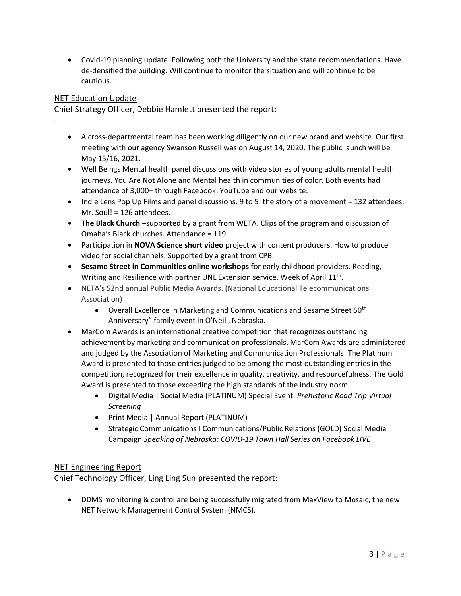Covid-19 planning update. Following both the University and the state recommendations. Have de-densified the building. Will continue to monitor the situation and will continue to be cautious.

# NET Education Update

.

Chief Strategy Officer, Debbie Hamlett presented the report:

- A cross-departmental team has been working diligently on our new brand and website. Our first meeting with our agency Swanson Russell was on August 14, 2020. The public launch will be May 15/16, 2021.
- Well Beings Mental health panel discussions with video stories of young adults mental health journeys. You Are Not Alone and Mental health in communities of color. Both events had attendance of 3,000+ through Facebook, YouTube and our website.
- Indie Lens Pop Up Films and panel discussions. 9 to 5: the story of a movement = 132 attendees. Mr. Soul! = 126 attendees.
- **The Black Church** –supported by a grant from WETA. Clips of the program and discussion of Omaha's Black churches. Attendance = 119
- Participation in **NOVA Science short video** project with content producers. How to produce video for social channels. Supported by a grant from CPB.
- **Sesame Street in Communities online workshops** for early childhood providers. Reading, Writing and Resilience with partner UNL Extension service. Week of April  $11<sup>th</sup>$ .
- NETA's 52nd annual Public Media Awards. (National Educational Telecommunications Association)
	- Overall Excellence in Marketing and Communications and Sesame Street  $50<sup>th</sup>$ Anniversary" family event in O'Neill, Nebraska.
- MarCom Awards is an international creative competition that recognizes outstanding achievement by marketing and communication professionals. MarCom Awards are administered and judged by the Association of Marketing and Communication Professionals. The Platinum Award is presented to those entries judged to be among the most outstanding entries in the competition, recognized for their excellence in quality, creativity, and resourcefulness. The Gold Award is presented to those exceeding the high standards of the industry norm.
	- Digital Media | Social Media (PLATINUM) Special Event: *Prehistoric Road Trip Virtual Screening*
	- Print Media | Annual Report (PLATINUM)
	- Strategic Communications I Communications/Public Relations (GOLD) Social Media Campaign *Speaking of Nebraska: COVID-19 Town Hall Series on Facebook LIVE*

# NET Engineering Report

Chief Technology Officer, Ling Ling Sun presented the report:

 DDMS monitoring & control are being successfully migrated from MaxView to Mosaic, the new NET Network Management Control System (NMCS).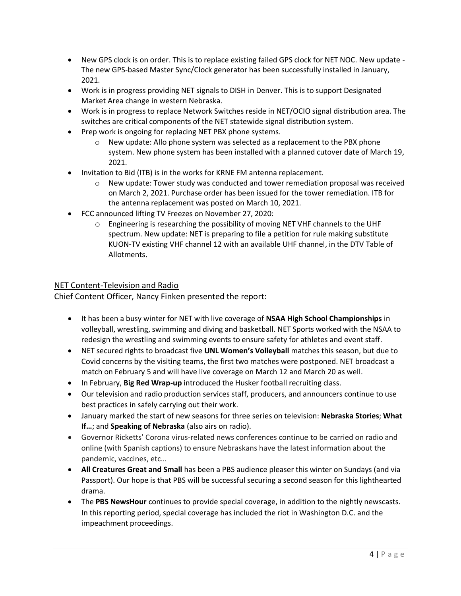- New GPS clock is on order. This is to replace existing failed GPS clock for NET NOC. New update The new GPS-based Master Sync/Clock generator has been successfully installed in January, 2021.
- Work is in progress providing NET signals to DISH in Denver. This is to support Designated Market Area change in western Nebraska.
- Work is in progress to replace Network Switches reside in NET/OCIO signal distribution area. The switches are critical components of the NET statewide signal distribution system.
- Prep work is ongoing for replacing NET PBX phone systems.
	- $\circ$  New update: Allo phone system was selected as a replacement to the PBX phone system. New phone system has been installed with a planned cutover date of March 19, 2021.
- Invitation to Bid (ITB) is in the works for KRNE FM antenna replacement.
	- $\circ$  New update: Tower study was conducted and tower remediation proposal was received on March 2, 2021. Purchase order has been issued for the tower remediation. ITB for the antenna replacement was posted on March 10, 2021.
- FCC announced lifting TV Freezes on November 27, 2020:
	- $\circ$  Engineering is researching the possibility of moving NET VHF channels to the UHF spectrum. New update: NET is preparing to file a petition for rule making substitute KUON-TV existing VHF channel 12 with an available UHF channel, in the DTV Table of Allotments.

## NET Content-Television and Radio

Chief Content Officer, Nancy Finken presented the report:

- It has been a busy winter for NET with live coverage of **NSAA High School Championships** in volleyball, wrestling, swimming and diving and basketball. NET Sports worked with the NSAA to redesign the wrestling and swimming events to ensure safety for athletes and event staff.
- NET secured rights to broadcast five **UNL Women's Volleyball** matches this season, but due to Covid concerns by the visiting teams, the first two matches were postponed. NET broadcast a match on February 5 and will have live coverage on March 12 and March 20 as well.
- In February, **Big Red Wrap-up** introduced the Husker football recruiting class.
- Our television and radio production services staff, producers, and announcers continue to use best practices in safely carrying out their work.
- January marked the start of new seasons for three series on television: **Nebraska Stories**; **What If…**; and **Speaking of Nebraska** (also airs on radio).
- Governor Ricketts' Corona virus-related news conferences continue to be carried on radio and online (with Spanish captions) to ensure Nebraskans have the latest information about the pandemic, vaccines, etc…
- **All Creatures Great and Small** has been a PBS audience pleaser this winter on Sundays (and via Passport). Our hope is that PBS will be successful securing a second season for this lighthearted drama.
- The **PBS NewsHour** continues to provide special coverage, in addition to the nightly newscasts. In this reporting period, special coverage has included the riot in Washington D.C. and the impeachment proceedings.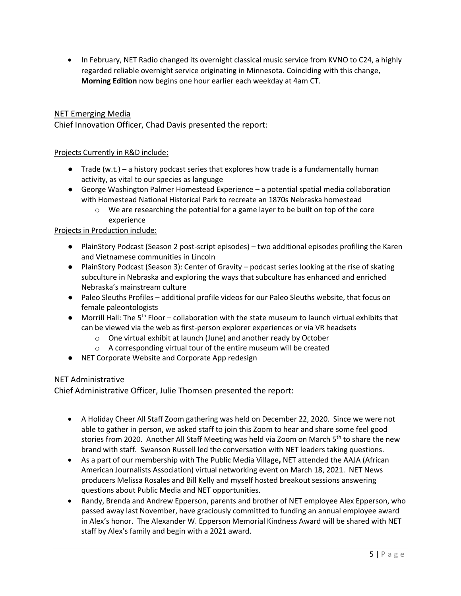• In February, NET Radio changed its overnight classical music service from KVNO to C24, a highly regarded reliable overnight service originating in Minnesota. Coinciding with this change, **Morning Edition** now begins one hour earlier each weekday at 4am CT.

# NET Emerging Media

Chief Innovation Officer, Chad Davis presented the report:

## Projects Currently in R&D include:

- Trade (w.t.) a history podcast series that explores how trade is a fundamentally human activity, as vital to our species as language
- George Washington Palmer Homestead Experience a potential spatial media collaboration with Homestead National Historical Park to recreate an 1870s Nebraska homestead
	- $\circ$  We are researching the potential for a game layer to be built on top of the core experience

## Projects in Production include:

- PlainStory Podcast (Season 2 post-script episodes) two additional episodes profiling the Karen and Vietnamese communities in Lincoln
- PlainStory Podcast (Season 3): Center of Gravity podcast series looking at the rise of skating subculture in Nebraska and exploring the ways that subculture has enhanced and enriched Nebraska's mainstream culture
- Paleo Sleuths Profiles additional profile videos for our Paleo Sleuths website, that focus on female paleontologists
- $\bullet$  Morrill Hall: The 5<sup>th</sup> Floor collaboration with the state museum to launch virtual exhibits that can be viewed via the web as first-person explorer experiences or via VR headsets
	- o One virtual exhibit at launch (June) and another ready by October
	- o A corresponding virtual tour of the entire museum will be created
- NET Corporate Website and Corporate App redesign

## NET Administrative

Chief Administrative Officer, Julie Thomsen presented the report:

- A Holiday Cheer All Staff Zoom gathering was held on December 22, 2020. Since we were not able to gather in person, we asked staff to join this Zoom to hear and share some feel good stories from 2020. Another All Staff Meeting was held via Zoom on March  $5<sup>th</sup>$  to share the new brand with staff. Swanson Russell led the conversation with NET leaders taking questions.
- As a part of our membership with The Public Media Village**,** NET attended the AAJA (African American Journalists Association) virtual networking event on March 18, 2021. NET News producers Melissa Rosales and Bill Kelly and myself hosted breakout sessions answering questions about Public Media and NET opportunities.
- Randy, Brenda and Andrew Epperson, parents and brother of NET employee Alex Epperson, who passed away last November, have graciously committed to funding an annual employee award in Alex's honor. The Alexander W. Epperson Memorial Kindness Award will be shared with NET staff by Alex's family and begin with a 2021 award.